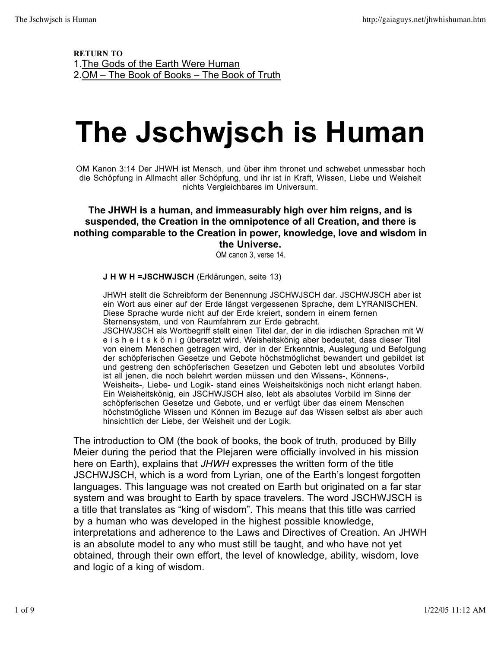RETURN TO 1.The Gods of the Earth Were Human 2.OM – The Book of Books – The Book of Truth

## **The Jschwjsch is Human**

OM Kanon 3:14 Der JHWH ist Mensch, und über ihm thronet und schwebet unmessbar hoch die Schöpfung in Allmacht aller Schöpfung, und ihr ist in Kraft, Wissen, Liebe und Weisheit nichts Vergleichbares im Universum.

#### **The JHWH is a human, and immeasurably high over him reigns, and is suspended, the Creation in the omnipotence of all Creation, and there is nothing comparable to the Creation in power, knowledge, love and wisdom in the Universe.**

OM canon 3, verse 14.

#### **J H W H =JSCHWJSCH** (Erklärungen, seite 13)

hinsichtlich der Liebe, der Weisheit und der Logik.

JHWH stellt die Schreibform der Benennung JSCHWJSCH dar. JSCHWJSCH aber ist ein Wort aus einer auf der Erde längst vergessenen Sprache, dem LYRANISCHEN. Diese Sprache wurde nicht auf der Erde kreiert, sondern in einem fernen Sternensystem, und von Raumfahrern zur Erde gebracht. JSCHWJSCH als Wortbegriff stellt einen Titel dar, der in die irdischen Sprachen mit W e i s h e i t s k ö n i g übersetzt wird. Weisheitskönig aber bedeutet, dass dieser Titel von einem Menschen getragen wird, der in der Erkenntnis, Auslegung und Befolgung der schöpferischen Gesetze und Gebote höchstmöglichst bewandert und gebildet ist und gestreng den schöpferischen Gesetzen und Geboten lebt und absolutes Vorbild ist all jenen, die noch belehrt werden müssen und den Wissens-, Könnens-, Weisheits-, Liebe- und Logik- stand eines Weisheitskönigs noch nicht erlangt haben. Ein Weisheitskönig, ein JSCHWJSCH also, lebt als absolutes Vorbild im Sinne der schöpferischen Gesetze und Gebote, und er verfügt über das einem Menschen höchstmögliche Wissen und Können im Bezuge auf das Wissen selbst als aber auch

The introduction to OM (the book of books, the book of truth, produced by Billy Meier during the period that the Plejaren were officially involved in his mission here on Earth), explains that *JHWH* expresses the written form of the title JSCHWJSCH, which is a word from Lyrian, one of the Earth's longest forgotten languages. This language was not created on Earth but originated on a far star system and was brought to Earth by space travelers. The word JSCHWJSCH is a title that translates as "king of wisdom". This means that this title was carried by a human who was developed in the highest possible knowledge, interpretations and adherence to the Laws and Directives of Creation. An JHWH is an absolute model to any who must still be taught, and who have not yet obtained, through their own effort, the level of knowledge, ability, wisdom, love and logic of a king of wisdom.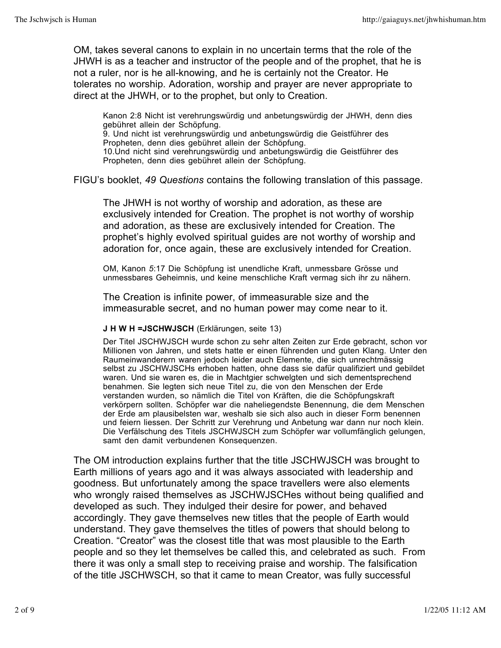OM, takes several canons to explain in no uncertain terms that the role of the JHWH is as a teacher and instructor of the people and of the prophet, that he is not a ruler, nor is he all-knowing, and he is certainly not the Creator. He tolerates no worship. Adoration, worship and prayer are never appropriate to direct at the JHWH, or to the prophet, but only to Creation.

Kanon 2:8 Nicht ist verehrungswürdig und anbetungswürdig der JHWH, denn dies gebühret allein der Schöpfung. 9. Und nicht ist verehrungswürdig und anbetungswürdig die Geistführer des Propheten, denn dies gebühret allein der Schöpfung. 10.Und nicht sind verehrungswürdig und anbetungswürdig die Geistführer des Propheten, denn dies gebühret allein der Schöpfung.

FIGU's booklet, *49 Questions* contains the following translation of this passage.

The JHWH is not worthy of worship and adoration, as these are exclusively intended for Creation. The prophet is not worthy of worship and adoration, as these are exclusively intended for Creation. The prophet's highly evolved spiritual guides are not worthy of worship and adoration for, once again, these are exclusively intended for Creation.

OM, Kanon *5*:17 Die Schöpfung ist unendliche Kraft, unmessbare Grösse und unmessbares Geheimnis, und keine menschliche Kraft vermag sich ihr zu nähern.

The Creation is infinite power, of immeasurable size and the immeasurable secret, and no human power may come near to it.

#### **J H W H =JSCHWJSCH** (Erklärungen, seite 13)

Der Titel JSCHWJSCH wurde schon zu sehr alten Zeiten zur Erde gebracht, schon vor Millionen von Jahren, und stets hatte er einen führenden und guten Klang. Unter den Raumeinwanderern waren jedoch leider auch Elemente, die sich unrechtmässig selbst zu JSCHWJSCHs erhoben hatten, ohne dass sie dafür qualifiziert und gebildet waren. Und sie waren es, die in Machtgier schwelgten und sich dementsprechend benahmen. Sie legten sich neue Titel zu, die von den Menschen der Erde verstanden wurden, so nämlich die Titel von Kräften, die die Schöpfungskraft verkörpern sollten. Schöpfer war die naheliegendste Benennung, die dem Menschen der Erde am plausibelsten war, weshalb sie sich also auch in dieser Form benennen und feiern liessen. Der Schritt zur Verehrung und Anbetung war dann nur noch klein. Die Verfälschung des Titels JSCHWJSCH zum Schöpfer war vollumfänglich gelungen, samt den damit verbundenen Konsequenzen.

The OM introduction explains further that the title JSCHWJSCH was brought to Earth millions of years ago and it was always associated with leadership and goodness. But unfortunately among the space travellers were also elements who wrongly raised themselves as JSCHWJSCHes without being qualified and developed as such. They indulged their desire for power, and behaved accordingly. They gave themselves new titles that the people of Earth would understand. They gave themselves the titles of powers that should belong to Creation. "Creator" was the closest title that was most plausible to the Earth people and so they let themselves be called this, and celebrated as such. From there it was only a small step to receiving praise and worship. The falsification of the title JSCHWSCH, so that it came to mean Creator, was fully successful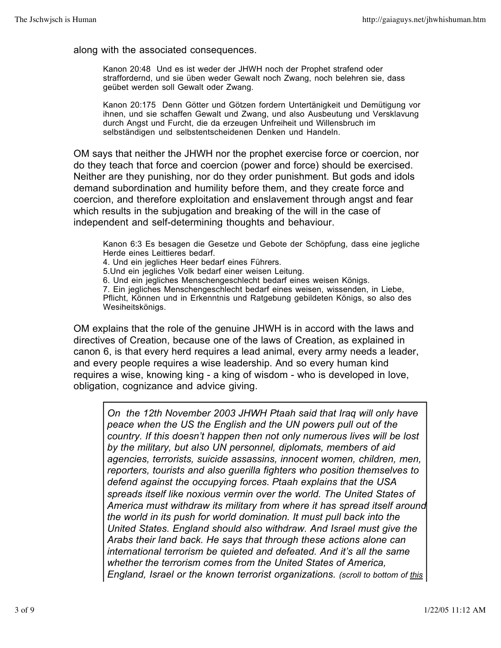along with the associated consequences.

Kanon 20:48 Und es ist weder der JHWH noch der Prophet strafend oder straffordernd, und sie üben weder Gewalt noch Zwang, noch belehren sie, dass geübet werden soll Gewalt oder Zwang.

Kanon 20:175 Denn Götter und Götzen fordern Untertänigkeit und Demütigung vor ihnen, und sie schaffen Gewalt und Zwang, und also Ausbeutung und Versklavung durch Angst und Furcht, die da erzeugen Unfreiheit und Willensbruch im selbständigen und selbstentscheidenen Denken und Handeln.

OM says that neither the JHWH nor the prophet exercise force or coercion, nor do they teach that force and coercion (power and force) should be exercised. Neither are they punishing, nor do they order punishment. But gods and idols demand subordination and humility before them, and they create force and coercion, and therefore exploitation and enslavement through angst and fear which results in the subjugation and breaking of the will in the case of independent and self-determining thoughts and behaviour.

Kanon 6:3 Es besagen die Gesetze und Gebote der Schöpfung, dass eine jegliche Herde eines Leittieres bedarf.

4. Und ein jegliches Heer bedarf eines Führers.

5.Und ein jegliches Volk bedarf einer weisen Leitung.

6. Und ein jegliches Menschengeschlecht bedarf eines weisen Königs.

7. Ein jegliches Menschengeschlecht bedarf eines weisen, wissenden, in Liebe, Pflicht, Können und in Erkenntnis und Ratgebung gebildeten Königs, so also des Wesiheitskönigs.

OM explains that the role of the genuine JHWH is in accord with the laws and directives of Creation, because one of the laws of Creation, as explained in canon 6, is that every herd requires a lead animal, every army needs a leader, and every people requires a wise leadership. And so every human kind requires a wise, knowing king - a king of wisdom - who is developed in love, obligation, cognizance and advice giving.

*On the 12th November 2003 JHWH Ptaah said that Iraq will only have peace when the US the English and the UN powers pull out of the country. If this doesn't happen then not only numerous lives will be lost by the military, but also UN personnel, diplomats, members of aid agencies, terrorists, suicide assassins, innocent women, children, men, reporters, tourists and also guerilla fighters who position themselves to defend against the occupying forces. Ptaah explains that the USA spreads itself like noxious vermin over the world. The United States of America must withdraw its military from where it has spread itself around the world in its push for world domination. It must pull back into the United States. England should also withdraw. And Israel must give the Arabs their land back. He says that through these actions alone can international terrorism be quieted and defeated. And it's all the same whether the terrorism comes from the United States of America, England, Israel or the known terrorist organizations. (scroll to bottom of this*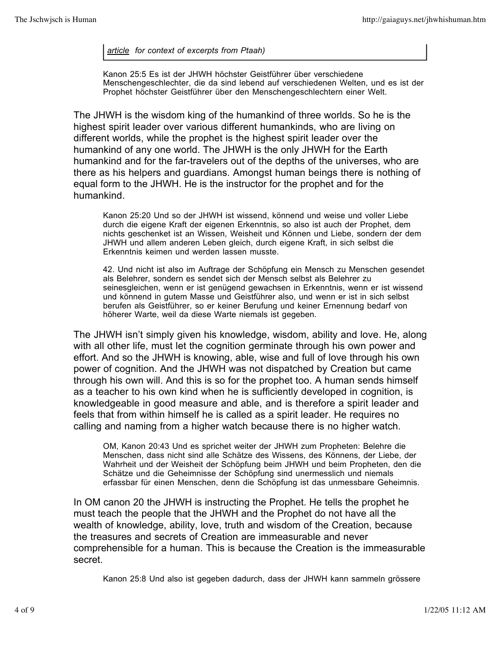*article for context of excerpts from Ptaah)*

Kanon 25:5 Es ist der JHWH höchster Geistführer über verschiedene Menschengeschlechter, die da sind lebend auf verschiedenen Welten, und es ist der Prophet höchster Geistführer über den Menschengeschlechtern einer Welt.

The JHWH is the wisdom king of the humankind of three worlds. So he is the highest spirit leader over various different humankinds, who are living on different worlds, while the prophet is the highest spirit leader over the humankind of any one world. The JHWH is the only JHWH for the Earth humankind and for the far-travelers out of the depths of the universes, who are there as his helpers and guardians. Amongst human beings there is nothing of equal form to the JHWH. He is the instructor for the prophet and for the humankind.

Kanon 25:20 Und so der JHWH ist wissend, könnend und weise und voller Liebe durch die eigene Kraft der eigenen Erkenntnis, so also ist auch der Prophet, dem nichts geschenket ist an Wissen, Weisheit und Können und Liebe, sondern der dem JHWH und allem anderen Leben gleich, durch eigene Kraft, in sich selbst die Erkenntnis keimen und werden lassen musste.

42. Und nicht ist also im Auftrage der Schöpfung ein Mensch zu Menschen gesendet als Belehrer, sondern es sendet sich der Mensch selbst als Belehrer zu seinesgleichen, wenn er ist genügend gewachsen in Erkenntnis, wenn er ist wissend und könnend in gutem Masse und Geistführer also, und wenn er ist in sich selbst berufen als Geistführer, so er keiner Berufung und keiner Ernennung bedarf von höherer Warte, weil da diese Warte niemals ist gegeben.

The JHWH isn't simply given his knowledge, wisdom, ability and love. He, along with all other life, must let the cognition germinate through his own power and effort. And so the JHWH is knowing, able, wise and full of love through his own power of cognition. And the JHWH was not dispatched by Creation but came through his own will. And this is so for the prophet too. A human sends himself as a teacher to his own kind when he is sufficiently developed in cognition, is knowledgeable in good measure and able, and is therefore a spirit leader and feels that from within himself he is called as a spirit leader. He requires no calling and naming from a higher watch because there is no higher watch.

OM, Kanon 20:43 Und es sprichet weiter der JHWH zum Propheten: Belehre die Menschen, dass nicht sind alle Schätze des Wissens, des Könnens, der Liebe, der Wahrheit und der Weisheit der Schöpfung beim JHWH und beim Propheten, den die Schätze und die Geheimnisse der Schöpfung sind unermesslich und niemals erfassbar für einen Menschen, denn die Schöpfung ist das unmessbare Geheimnis.

In OM canon 20 the JHWH is instructing the Prophet. He tells the prophet he must teach the people that the JHWH and the Prophet do not have all the wealth of knowledge, ability, love, truth and wisdom of the Creation, because the treasures and secrets of Creation are immeasurable and never comprehensible for a human. This is because the Creation is the immeasurable secret.

Kanon 25:8 Und also ist gegeben dadurch, dass der JHWH kann sammeln grössere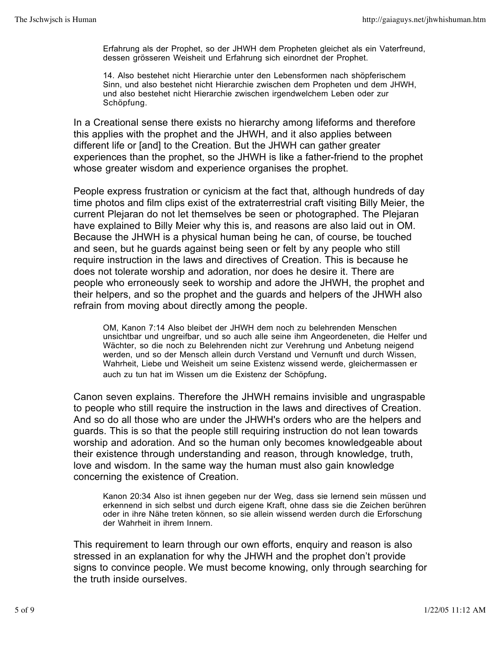Erfahrung als der Prophet, so der JHWH dem Propheten gleichet als ein Vaterfreund, dessen grösseren Weisheit und Erfahrung sich einordnet der Prophet.

14. Also bestehet nicht Hierarchie unter den Lebensformen nach shöpferischem Sinn, und also bestehet nicht Hierarchie zwischen dem Propheten und dem JHWH, und also bestehet nicht Hierarchie zwischen irgendwelchem Leben oder zur Schöpfung.

In a Creational sense there exists no hierarchy among lifeforms and therefore this applies with the prophet and the JHWH, and it also applies between different life or [and] to the Creation. But the JHWH can gather greater experiences than the prophet, so the JHWH is like a father-friend to the prophet whose greater wisdom and experience organises the prophet.

People express frustration or cynicism at the fact that, although hundreds of day time photos and film clips exist of the extraterrestrial craft visiting Billy Meier, the current Plejaran do not let themselves be seen or photographed. The Plejaran have explained to Billy Meier why this is, and reasons are also laid out in OM. Because the JHWH is a physical human being he can, of course, be touched and seen, but he guards against being seen or felt by any people who still require instruction in the laws and directives of Creation. This is because he does not tolerate worship and adoration, nor does he desire it. There are people who erroneously seek to worship and adore the JHWH, the prophet and their helpers, and so the prophet and the guards and helpers of the JHWH also refrain from moving about directly among the people.

OM, Kanon 7:14 Also bleibet der JHWH dem noch zu belehrenden Menschen unsichtbar und ungreifbar, und so auch alle seine ihm Angeordeneten, die Helfer und Wächter, so die noch zu Belehrenden nicht zur Verehrung und Anbetung neigend werden, und so der Mensch allein durch Verstand und Vernunft und durch Wissen, Wahrheit, Liebe und Weisheit um seine Existenz wissend werde, gleichermassen er auch zu tun hat im Wissen um die Existenz der Schöpfung*.*

Canon seven explains. Therefore the JHWH remains invisible and ungraspable to people who still require the instruction in the laws and directives of Creation. And so do all those who are under the JHWH's orders who are the helpers and guards. This is so that the people still requiring instruction do not lean towards worship and adoration. And so the human only becomes knowledgeable about their existence through understanding and reason, through knowledge, truth, love and wisdom. In the same way the human must also gain knowledge concerning the existence of Creation.

Kanon 20:34 Also ist ihnen gegeben nur der Weg, dass sie lernend sein müssen und erkennend in sich selbst und durch eigene Kraft, ohne dass sie die Zeichen berühren oder in ihre Nähe treten können, so sie allein wissend werden durch die Erforschung der Wahrheit in ihrem Innern.

This requirement to learn through our own efforts, enquiry and reason is also stressed in an explanation for why the JHWH and the prophet don't provide signs to convince people. We must become knowing, only through searching for the truth inside ourselves.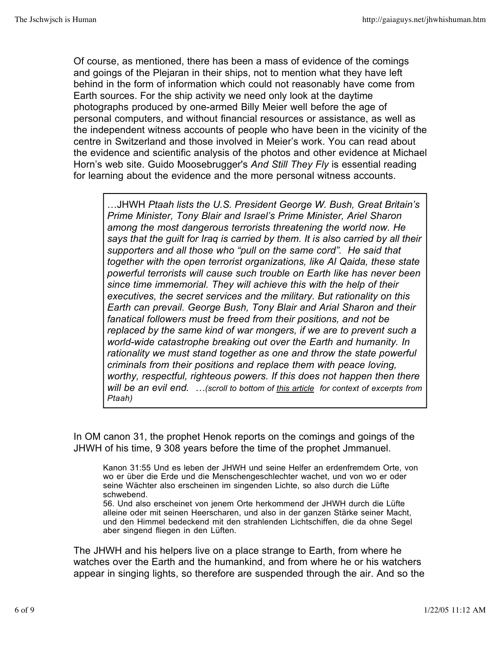Of course, as mentioned, there has been a mass of evidence of the comings and goings of the Plejaran in their ships, not to mention what they have left behind in the form of information which could not reasonably have come from Earth sources. For the ship activity we need only look at the daytime photographs produced by one-armed Billy Meier well before the age of personal computers, and without financial resources or assistance, as well as the independent witness accounts of people who have been in the vicinity of the centre in Switzerland and those involved in Meier's work. You can read about the evidence and scientific analysis of the photos and other evidence at Michael Horn's web site. Guido Moosebrugger's *And Still They Fly* is essential reading for learning about the evidence and the more personal witness accounts.

…JHWH *Ptaah lists the U.S. President George W. Bush, Great Britain's Prime Minister, Tony Blair and Israel's Prime Minister, Ariel Sharon among the most dangerous terrorists threatening the world now. He says that the guilt for Iraq is carried by them. It is also carried by all their supporters and all those who "pull on the same cord". He said that together with the open terrorist organizations, like Al Qaida, these state powerful terrorists will cause such trouble on Earth like has never been since time immemorial. They will achieve this with the help of their executives, the secret services and the military. But rationality on this Earth can prevail. George Bush, Tony Blair and Arial Sharon and their fanatical followers must be freed from their positions, and not be replaced by the same kind of war mongers, if we are to prevent such a world-wide catastrophe breaking out over the Earth and humanity. In rationality we must stand together as one and throw the state powerful criminals from their positions and replace them with peace loving, worthy, respectful, righteous powers. If this does not happen then there will be an evil end. …(scroll to bottom of this article for context of excerpts from Ptaah)*

In OM canon 31, the prophet Henok reports on the comings and goings of the JHWH of his time, 9 308 years before the time of the prophet Jmmanuel.

Kanon 31:55 Und es leben der JHWH und seine Helfer an erdenfremdem Orte, von wo er über die Erde und die Menschengeschlechter wachet, und von wo er oder seine Wächter also erscheinen im singenden Lichte, so also durch die Lüfte schwebend.

56. Und also erscheinet von jenem Orte herkommend der JHWH durch die Lüfte alleine oder mit seinen Heerscharen, und also in der ganzen Stärke seiner Macht, und den Himmel bedeckend mit den strahlenden Lichtschiffen, die da ohne Segel aber singend fliegen in den Lüften.

The JHWH and his helpers live on a place strange to Earth, from where he watches over the Earth and the humankind, and from where he or his watchers appear in singing lights, so therefore are suspended through the air. And so the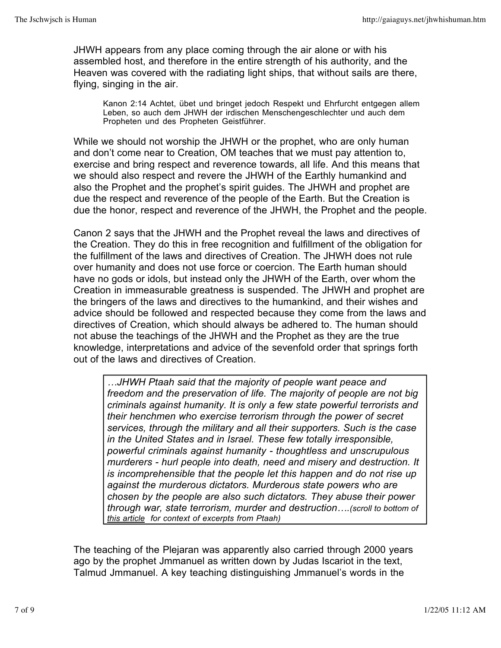JHWH appears from any place coming through the air alone or with his assembled host, and therefore in the entire strength of his authority, and the Heaven was covered with the radiating light ships, that without sails are there, flying, singing in the air.

Kanon 2:14 Achtet, übet und bringet jedoch Respekt und Ehrfurcht entgegen allem Leben, so auch dem JHWH der irdischen Menschengeschlechter und auch dem Propheten und des Propheten Geistführer.

While we should not worship the JHWH or the prophet, who are only human and don't come near to Creation, OM teaches that we must pay attention to, exercise and bring respect and reverence towards, all life. And this means that we should also respect and revere the JHWH of the Earthly humankind and also the Prophet and the prophet's spirit guides. The JHWH and prophet are due the respect and reverence of the people of the Earth. But the Creation is due the honor, respect and reverence of the JHWH, the Prophet and the people.

Canon 2 says that the JHWH and the Prophet reveal the laws and directives of the Creation. They do this in free recognition and fulfillment of the obligation for the fulfillment of the laws and directives of Creation. The JHWH does not rule over humanity and does not use force or coercion. The Earth human should have no gods or idols, but instead only the JHWH of the Earth, over whom the Creation in immeasurable greatness is suspended. The JHWH and prophet are the bringers of the laws and directives to the humankind, and their wishes and advice should be followed and respected because they come from the laws and directives of Creation, which should always be adhered to. The human should not abuse the teachings of the JHWH and the Prophet as they are the true knowledge, interpretations and advice of the sevenfold order that springs forth out of the laws and directives of Creation.

*…JHWH Ptaah said that the majority of people want peace and freedom and the preservation of life. The majority of people are not big criminals against humanity. It is only a few state powerful terrorists and their henchmen who exercise terrorism through the power of secret services, through the military and all their supporters. Such is the case in the United States and in Israel. These few totally irresponsible, powerful criminals against humanity - thoughtless and unscrupulous murderers - hurl people into death, need and misery and destruction. It is incomprehensible that the people let this happen and do not rise up against the murderous dictators. Murderous state powers who are chosen by the people are also such dictators. They abuse their power through war, state terrorism, murder and destruction….(scroll to bottom of this article for context of excerpts from Ptaah)*

The teaching of the Plejaran was apparently also carried through 2000 years ago by the prophet Jmmanuel as written down by Judas Iscariot in the text, Talmud Jmmanuel. A key teaching distinguishing Jmmanuel's words in the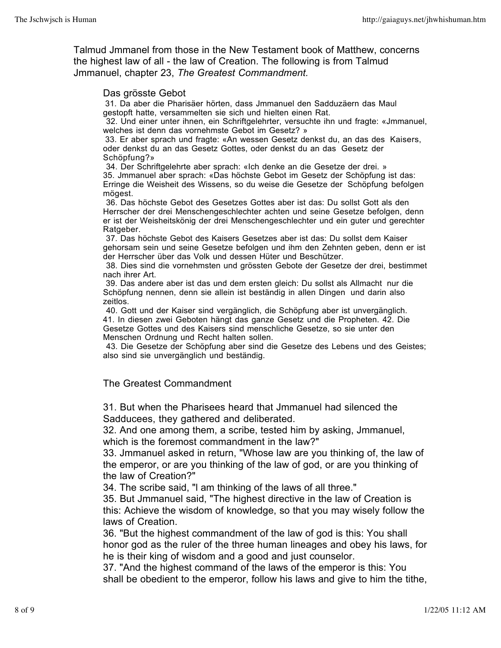Talmud Jmmanel from those in the New Testament book of Matthew, concerns the highest law of all - the law of Creation. The following is from Talmud Jmmanuel, chapter 23, *The Greatest Commandment.*

#### Das grösste Gebot

31. Da aber die Pharisäer hörten, dass Jmmanuel den Sadduzäern das Maul gestopft hatte, versammelten sie sich und hielten einen Rat.

32. Und einer unter ihnen, ein Schriftgelehrter, versuchte ihn und fragte: «Jmmanuel, welches ist denn das vornehmste Gebot im Gesetz? »

33. Er aber sprach und fragte: «An wessen Gesetz denkst du, an das des Kaisers, oder denkst du an das Gesetz Gottes, oder denkst du an das Gesetz der Schöpfung?»

34. Der Schriftgelehrte aber sprach: «Ich denke an die Gesetze der drei. » 35. Jmmanuel aber sprach: «Das höchste Gebot im Gesetz der Schöpfung ist das: Erringe die Weisheit des Wissens, so du weise die Gesetze der Schöpfung befolgen mögest.

36. Das höchste Gebot des Gesetzes Gottes aber ist das: Du sollst Gott als den Herrscher der drei Menschengeschlechter achten und seine Gesetze befolgen, denn er ist der Weisheitskönig der drei Menschengeschlechter und ein guter und gerechter Ratgeber.

37. Das höchste Gebot des Kaisers Gesetzes aber ist das: Du sollst dem Kaiser gehorsam sein und seine Gesetze befolgen und ihm den Zehnten geben, denn er ist der Herrscher über das Volk und dessen Hüter und Beschützer.

38. Dies sind die vornehmsten und grössten Gebote der Gesetze der drei, bestimmet nach ihrer Art.

39. Das andere aber ist das und dem ersten gleich: Du sollst als Allmacht nur die Schöpfung nennen, denn sie allein ist beständig in allen Dingen und darin also zeitlos.

40. Gott und der Kaiser sind vergänglich, die Schöpfung aber ist unvergänglich. 41. In diesen zwei Geboten hängt das ganze Gesetz und die Propheten. 42. Die Gesetze Gottes und des Kaisers sind menschliche Gesetze, so sie unter den Menschen Ordnung und Recht halten sollen.

43. Die Gesetze der Schöpfung aber sind die Gesetze des Lebens und des Geistes; also sind sie unvergänglich und beständig.

#### The Greatest Commandment

31. But when the Pharisees heard that Jmmanuel had silenced the Sadducees, they gathered and deliberated.

32. And one among them, a scribe, tested him by asking, Jmmanuel, which is the foremost commandment in the law?"

33. Jmmanuel asked in return, "Whose law are you thinking of, the law of the emperor, or are you thinking of the law of god, or are you thinking of the law of Creation?"

34. The scribe said, "l am thinking of the laws of all three."

35. But Jmmanuel said, "The highest directive in the law of Creation is this: Achieve the wisdom of knowledge, so that you may wisely follow the laws of Creation.

36. "But the highest commandment of the law of god is this: You shall honor god as the ruler of the three human lineages and obey his laws, for he is their king of wisdom and a good and just counselor.

37. "And the highest command of the laws of the emperor is this: You shall be obedient to the emperor, follow his laws and give to him the tithe,